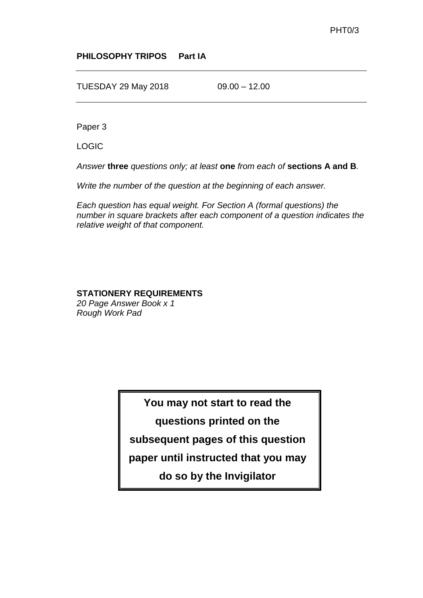#### **PHILOSOPHY TRIPOS Part IA**

TUESDAY 29 May 2018 09.00 – 12.00

Paper 3

LOGIC

*Answer* **three** *questions only; at least* **one** *from each of* **sections A and B***.*

*Write the number of the question at the beginning of each answer.*

*Each question has equal weight. For Section A (formal questions) the number in square brackets after each component of a question indicates the relative weight of that component.*

#### **STATIONERY REQUIREMENTS**

*20 Page Answer Book x 1 Rough Work Pad*

> **You may not start to read the questions printed on the subsequent pages of this question paper until instructed that you may do so by the Invigilator**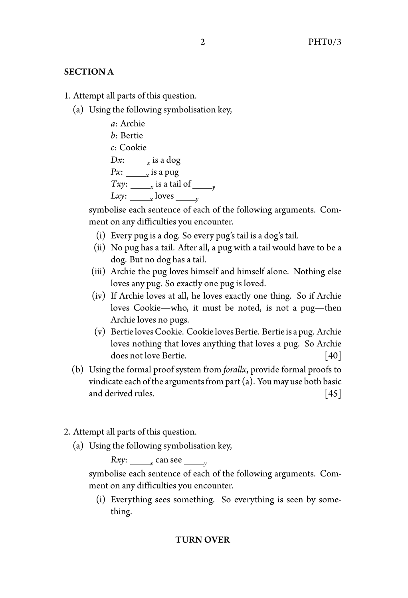## SECTION A

1. Attempt all parts of this question.

(a) Using the following symbolisation key,

```
a: Archie
b: Bertie
c: Cookie
Dx: <u>______</u><sub>x</sub> is a dog
Px: <u>_______</u><sub>x</sub> is a pug
Txy: <u>yields are tail of yields \frac{y}{y}</u>
Lxy: <u>y loves y</u>
```
symbolise each sentence of each of the following arguments. Comment on any difficulties you encounter.

- (i) Every pug is a dog. So every pug's tail is a dog's tail.
- (ii) No pug has a tail. After all, a pug with a tail would have to be a dog. But no dog has a tail.
- (iii) Archie the pug loves himself and himself alone. Nothing else loves any pug. So exactly one pug is loved.
- (iv) If Archie loves at all, he loves exactly one thing. So if Archie loves Cookie—who, it must be noted, is not a pug—then Archie loves no pugs.
- (v) Bertie lovesCookie. Cookie loves Bertie. Bertie is a pug. Archie loves nothing that loves anything that loves a pug. So Archie does not love Bertie. [40]
- (b) Using the formal proof system from *forallx*, provide formal proofs to vindicate each of the arguments from part  $(a)$ . You may use both basic and derived rules. [45]
- 2. Attempt all parts of this question.
	- (a) Using the following symbolisation key,

*Rxy*: <u>*x* can see *y*</u>

symbolise each sentence of each of the following arguments. Comment on any difficulties you encounter.

(i) Everything sees something. So everything is seen by something.

### TURN OVER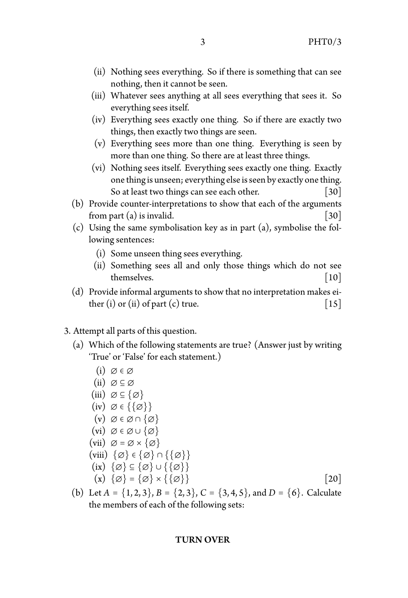- (ii) Nothing sees everything. So if there is something that can see nothing, then it cannot be seen.
- (iii) Whatever sees anything at all sees everything that sees it. So everything sees itself.
- (iv) Everything sees exactly one thing. So if there are exactly two things, then exactly two things are seen.
- (v) Everything sees more than one thing. Everything is seen by more than one thing. So there are at least three things.
- (vi) Nothing sees itself. Everything sees exactly one thing. Exactly onething is unseen; everything else is seen by exactly onething. So at least two things can see each other. [30]
- (b) Provide counter-interpretations to show that each of the arguments from part (a) is invalid.  $[30]$
- (c) Using the same symbolisation key as in part (a), symbolise the following sentences:
	- (i) Some unseen thing sees everything.
	- (ii) Something sees all and only those things which do not see themselves.  $\begin{bmatrix} 10 \end{bmatrix}$
- (d) Provide informal arguments to show that no interpretation makes either (i) or (ii) of part (c) true.  $\begin{bmatrix} 15 \end{bmatrix}$

## 3. Attempt all parts of this question.

- (a) Which of the following statements are true? (Answer just by writing 'True' or 'False' for each statement.)
	- $(i)$   $\varnothing \in \varnothing$ (ii)  $\varnothing \subseteq \varnothing$ (iii)  $\varnothing \subseteq {\varnothing}$  $(iv) \oslash \in \{\{\emptyset\}\}\$  $(v) \oslash \in \varnothing \cap {\varnothing}$  $(vi) \otimes \in \varnothing \cup \{\varnothing\}$  $(vii) \varnothing = \varnothing \times \{\varnothing\}$ (viii)  $\{\emptyset\} \in \{\emptyset\} \cap \{\{\emptyset\}\}\$ (ix)  $\{\emptyset\} \subseteq \{\emptyset\} \cup \{\{\emptyset\}\}\$ (x)  $\{\varnothing\} = \{\varnothing\} \times \{\{\varnothing\}\}\$  [20]
- (b) Let  $A = \{1, 2, 3\}$ ,  $B = \{2, 3\}$ ,  $C = \{3, 4, 5\}$ , and  $D = \{6\}$ . Calculate the members of each of the following sets:

### TURN OVER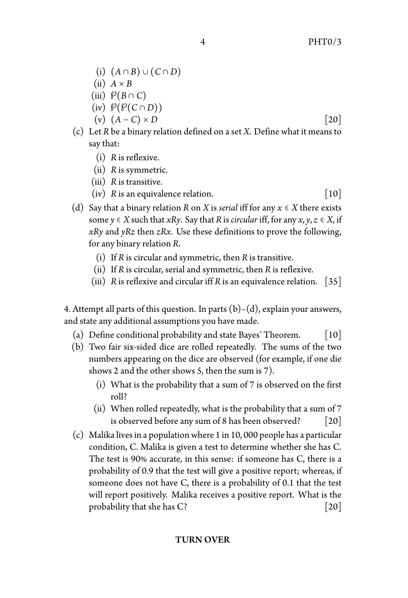- (i) (*<sup>A</sup>* <sup>∩</sup> *<sup>B</sup>*) <sup>∪</sup> (*<sup>C</sup>* <sup>∩</sup> *<sup>D</sup>*)
- $(ii)$   $A \times B$
- (iii)  $\mathcal{P}(B \cap C)$
- (iv)  $\mathcal{P}(\mathcal{P}(C \cap D))$
- (v)  $(A C) \times D$  [20]
- (c) Let *R* be a binary relation defined on a set *X*. Define what it means to say that:
	- (i) *R* is reflexive.
	- (ii) *R* is symmetric.
	- (iii) *R* is transitive.
	- $(iv)$  *R* is an equivalence relation.  $[10]$
- (d) Say that a binary relation *R* on *X* is *serial* iff for any  $x \in X$  there exists some  $y \in X$  such that *xRy*. Say that *R* is *circular* iff, for any  $x, y, z \in X$ , if *xRy* and *yRz* then *zRx*. Use these definitions to prove the following, for any binary relation *R*.
	- (i) If *R* is circular and symmetric, then *R* is transitive.
	- (ii) If *R* is circular, serial and symmetric, then *R* is reflexive.
	- (iii) *R* is reflexive and circular iff *R* is an equivalence relation.  $|35|$

4. Attempt all parts of this question. In parts  $(b)-(d)$ , explain your answers, and state any additional assumptions you have made.

- (a) Define conditional probability and state Bayes' Theorem.  $[10]$
- (b) Two fair six-sided dice are rolled repeatedly. The sums of the two numbers appearing on the dice are observed (for example, if one die shows 2 and the other shows 5, then the sum is 7).
	- (i) What is the probability that a sum of 7 is observed on the first roll?
	- (ii) When rolled repeatedly, what is the probability that a sum of 7 is observed before any sum of 8 has been observed? [20]
- (c) Malika lives in a population where 1 in 10, 000 people has a particular condition, C. Malika is given a test to determine whether she has C. The test is 90% accurate, in this sense: if someone has C, there is a probability of 0.9 that the test will give a positive report; whereas, if someone does not have C, there is a probability of 0.1 that the test will report positively. Malika receives a positive report. What is the probability that she has  $C$ ? [20]

## TURN OVER